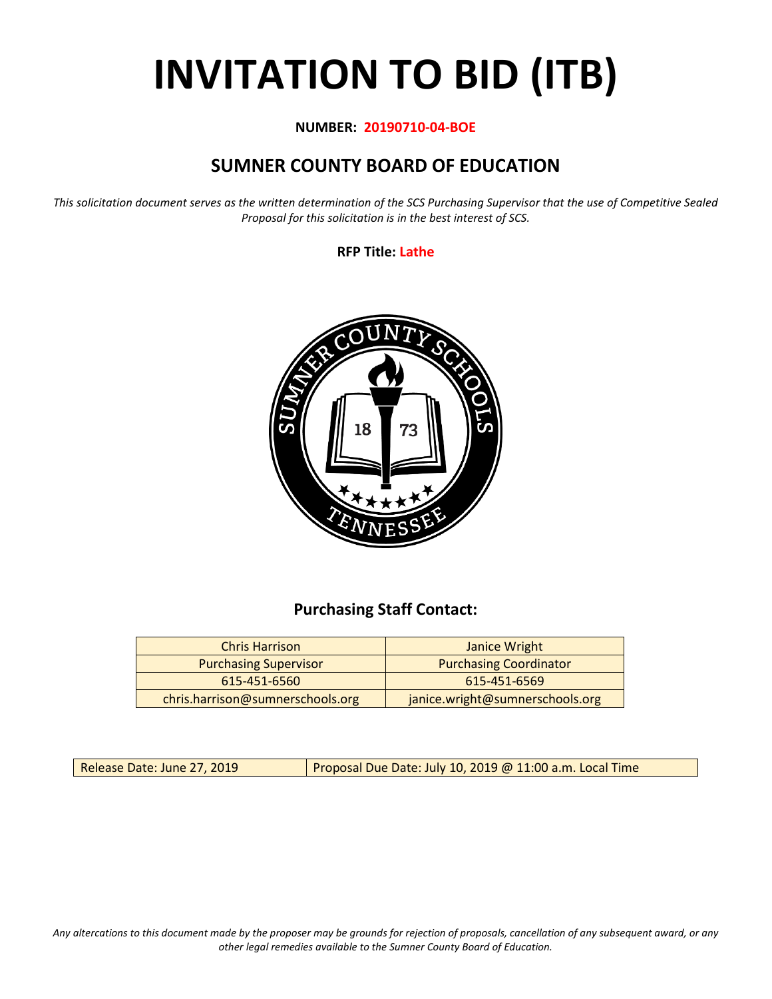# **INVITATION TO BID (ITB)**

#### **NUMBER: 20190710-04-BOE**

## **SUMNER COUNTY BOARD OF EDUCATION**

*This solicitation document serves as the written determination of the SCS Purchasing Supervisor that the use of Competitive Sealed Proposal for this solicitation is in the best interest of SCS.*

**RFP Title: Lathe**



## **Purchasing Staff Contact:**

| <b>Chris Harrison</b>            | Janice Wright                   |
|----------------------------------|---------------------------------|
| <b>Purchasing Supervisor</b>     | <b>Purchasing Coordinator</b>   |
| 615-451-6560                     | 615-451-6569                    |
| chris.harrison@sumnerschools.org | janice.wright@sumnerschools.org |

Release Date: June 27, 2019 | Proposal Due Date: July 10, 2019 @ 11:00 a.m. Local Time

*Any altercations to this document made by the proposer may be grounds for rejection of proposals, cancellation of any subsequent award, or any other legal remedies available to the Sumner County Board of Education.*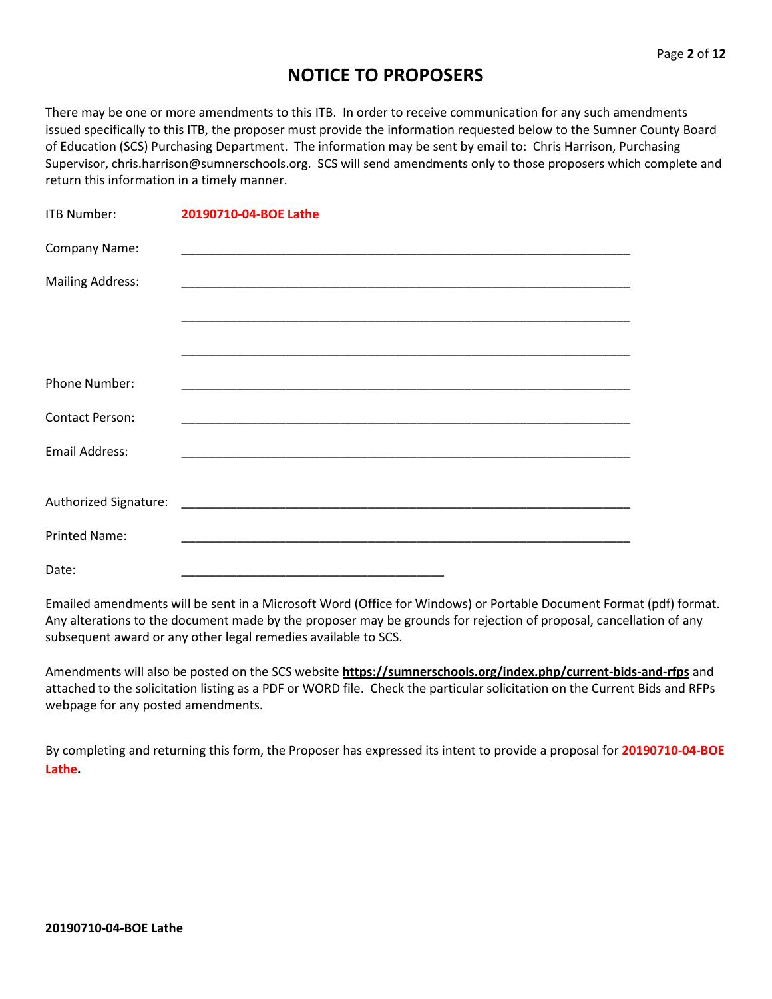## **NOTICE TO PROPOSERS**

There may be one or more amendments to this ITB. In order to receive communication for any such amendments issued specifically to this ITB, the proposer must provide the information requested below to the Sumner County Board of Education (SCS) Purchasing Department. The information may be sent by email to: Chris Harrison, Purchasing Supervisor, chris.harrison@sumnerschools.org. SCS will send amendments only to those proposers which complete and return this information in a timely manner.

| ITB Number:             | 20190710-04-BOE Lathe                                                                                                 |
|-------------------------|-----------------------------------------------------------------------------------------------------------------------|
| Company Name:           |                                                                                                                       |
| <b>Mailing Address:</b> |                                                                                                                       |
|                         |                                                                                                                       |
|                         |                                                                                                                       |
| Phone Number:           | <u> 1989 - Johann John Stoff, deutscher Stoffen und der Stoffen und der Stoffen und der Stoffen und der Stoffen u</u> |
| <b>Contact Person:</b>  |                                                                                                                       |
| <b>Email Address:</b>   |                                                                                                                       |
|                         |                                                                                                                       |
| Authorized Signature:   |                                                                                                                       |
| <b>Printed Name:</b>    | <u> 1989 - Jan James James James James James James James James James James James James James James James James</u>    |
| Date:                   |                                                                                                                       |

Emailed amendments will be sent in a Microsoft Word (Office for Windows) or Portable Document Format (pdf) format. Any alterations to the document made by the proposer may be grounds for rejection of proposal, cancellation of any subsequent award or any other legal remedies available to SCS.

Amendments will also be posted on the SCS website **https://sumnerschools.org/index.php/current-bids-and-rfps** and attached to the solicitation listing as a PDF or WORD file. Check the particular solicitation on the Current Bids and RFPs webpage for any posted amendments.

By completing and returning this form, the Proposer has expressed its intent to provide a proposal for **20190710-04-BOE Lathe.**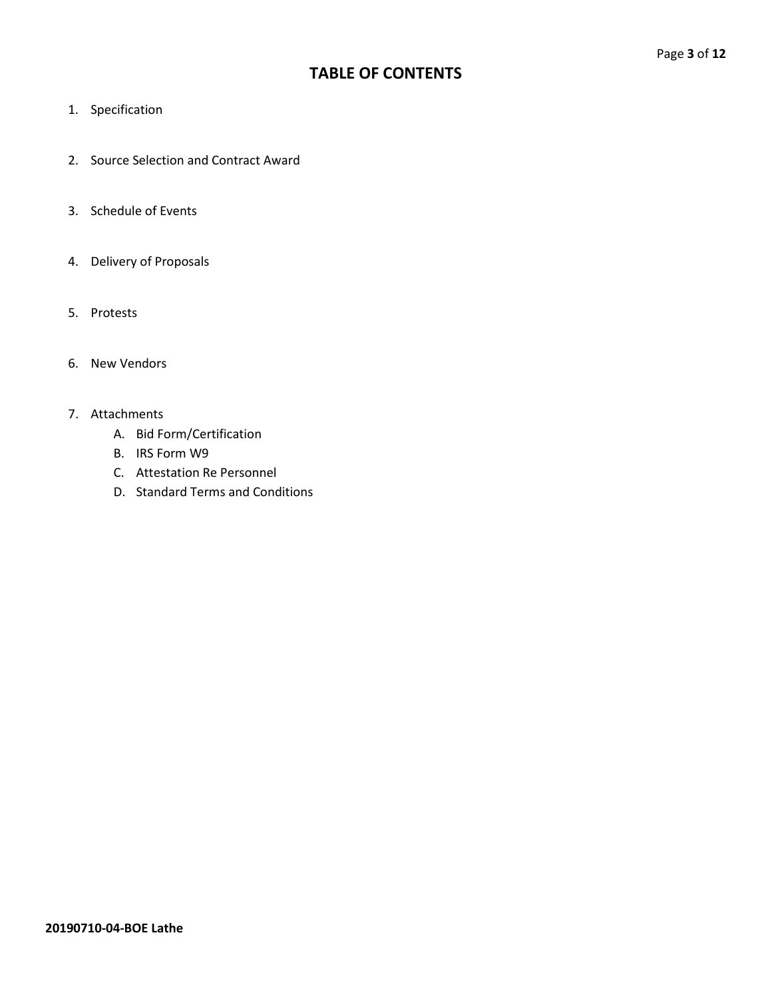## **TABLE OF CONTENTS**

- 1. Specification
- 2. Source Selection and Contract Award
- 3. Schedule of Events
- 4. Delivery of Proposals
- 5. Protests
- 6. New Vendors

#### 7. Attachments

- A. Bid Form/Certification
- B. IRS Form W9
- C. Attestation Re Personnel
- D. Standard Terms and Conditions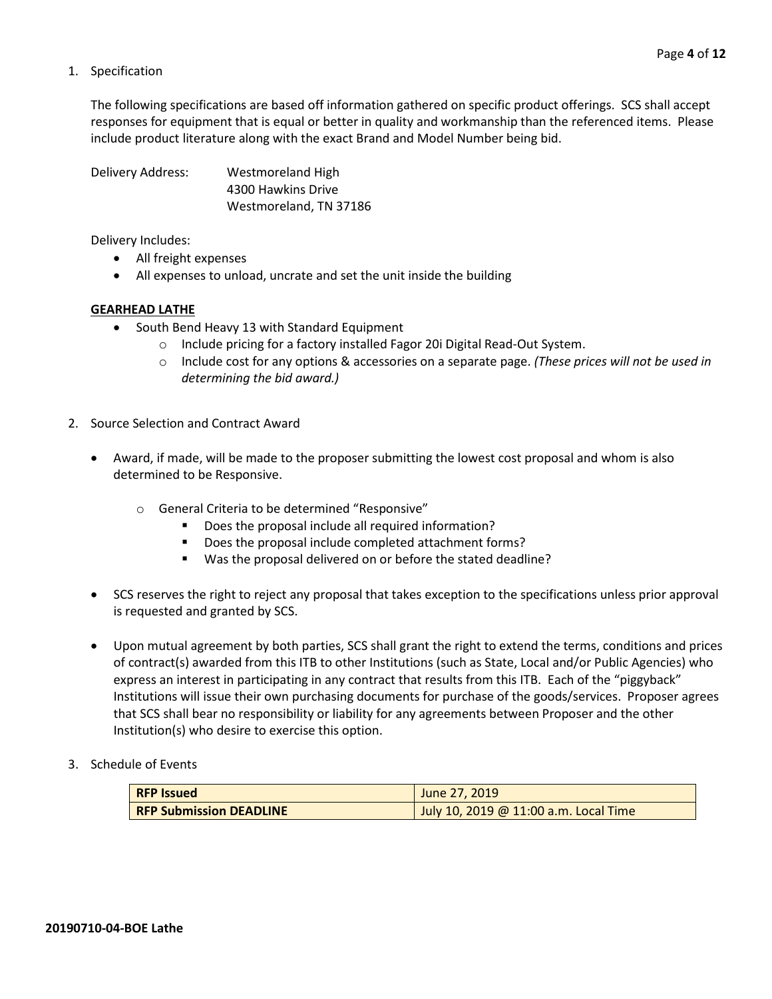#### 1. Specification

The following specifications are based off information gathered on specific product offerings. SCS shall accept responses for equipment that is equal or better in quality and workmanship than the referenced items. Please include product literature along with the exact Brand and Model Number being bid.

Delivery Address: Westmoreland High 4300 Hawkins Drive Westmoreland, TN 37186

Delivery Includes:

- All freight expenses
- All expenses to unload, uncrate and set the unit inside the building

#### **GEARHEAD LATHE**

- South Bend Heavy 13 with Standard Equipment
	- o Include pricing for a factory installed Fagor 20i Digital Read-Out System.
	- o Include cost for any options & accessories on a separate page. *(These prices will not be used in determining the bid award.)*
- 2. Source Selection and Contract Award
	- Award, if made, will be made to the proposer submitting the lowest cost proposal and whom is also determined to be Responsive.
		- o General Criteria to be determined "Responsive"
			- **•** Does the proposal include all required information?
			- Does the proposal include completed attachment forms?
			- Was the proposal delivered on or before the stated deadline?
	- SCS reserves the right to reject any proposal that takes exception to the specifications unless prior approval is requested and granted by SCS.
	- Upon mutual agreement by both parties, SCS shall grant the right to extend the terms, conditions and prices of contract(s) awarded from this ITB to other Institutions (such as State, Local and/or Public Agencies) who express an interest in participating in any contract that results from this ITB. Each of the "piggyback" Institutions will issue their own purchasing documents for purchase of the goods/services. Proposer agrees that SCS shall bear no responsibility or liability for any agreements between Proposer and the other Institution(s) who desire to exercise this option.
- 3. Schedule of Events

| <b>RFP Issued</b>              | June 27, 2019                         |  |  |  |
|--------------------------------|---------------------------------------|--|--|--|
| <b>RFP Submission DEADLINE</b> | July 10, 2019 @ 11:00 a.m. Local Time |  |  |  |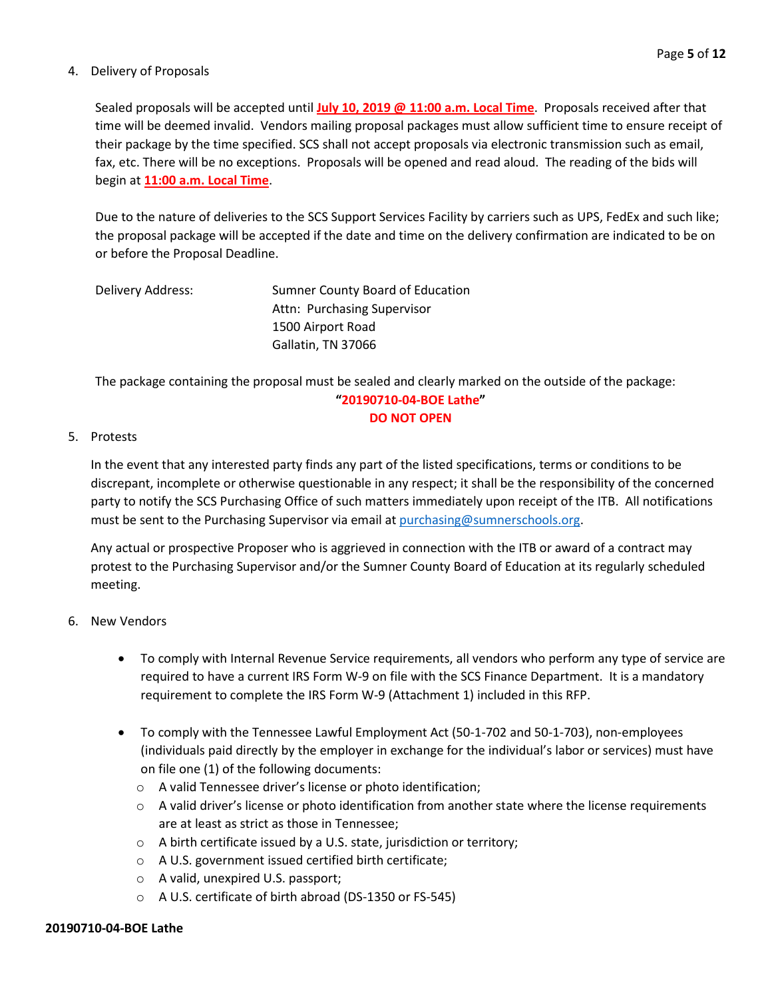#### 4. Delivery of Proposals

Sealed proposals will be accepted until **July 10, 2019 @ 11:00 a.m. Local Time**. Proposals received after that time will be deemed invalid. Vendors mailing proposal packages must allow sufficient time to ensure receipt of their package by the time specified. SCS shall not accept proposals via electronic transmission such as email, fax, etc. There will be no exceptions. Proposals will be opened and read aloud. The reading of the bids will begin at **11:00 a.m. Local Time**.

Due to the nature of deliveries to the SCS Support Services Facility by carriers such as UPS, FedEx and such like; the proposal package will be accepted if the date and time on the delivery confirmation are indicated to be on or before the Proposal Deadline.

| Delivery Address: | Sumner County Board of Education |
|-------------------|----------------------------------|
|                   | Attn: Purchasing Supervisor      |
|                   | 1500 Airport Road                |
|                   | Gallatin, TN 37066               |

The package containing the proposal must be sealed and clearly marked on the outside of the package: **"20190710-04-BOE Lathe"**

#### **DO NOT OPEN**

#### 5. Protests

In the event that any interested party finds any part of the listed specifications, terms or conditions to be discrepant, incomplete or otherwise questionable in any respect; it shall be the responsibility of the concerned party to notify the SCS Purchasing Office of such matters immediately upon receipt of the ITB. All notifications must be sent to the Purchasing Supervisor via email at [purchasing@sumnerschools.org.](mailto:purchasing@sumnerschools.org)

Any actual or prospective Proposer who is aggrieved in connection with the ITB or award of a contract may protest to the Purchasing Supervisor and/or the Sumner County Board of Education at its regularly scheduled meeting.

#### 6. New Vendors

- To comply with Internal Revenue Service requirements, all vendors who perform any type of service are required to have a current IRS Form W-9 on file with the SCS Finance Department. It is a mandatory requirement to complete the IRS Form W-9 (Attachment 1) included in this RFP.
- To comply with the Tennessee Lawful Employment Act (50-1-702 and 50-1-703), non-employees (individuals paid directly by the employer in exchange for the individual's labor or services) must have on file one (1) of the following documents:
	- o A valid Tennessee driver's license or photo identification;
	- $\circ$  A valid driver's license or photo identification from another state where the license requirements are at least as strict as those in Tennessee;
	- o A birth certificate issued by a U.S. state, jurisdiction or territory;
	- o A U.S. government issued certified birth certificate;
	- o A valid, unexpired U.S. passport;
	- o A U.S. certificate of birth abroad (DS-1350 or FS-545)

#### **20190710-04-BOE Lathe**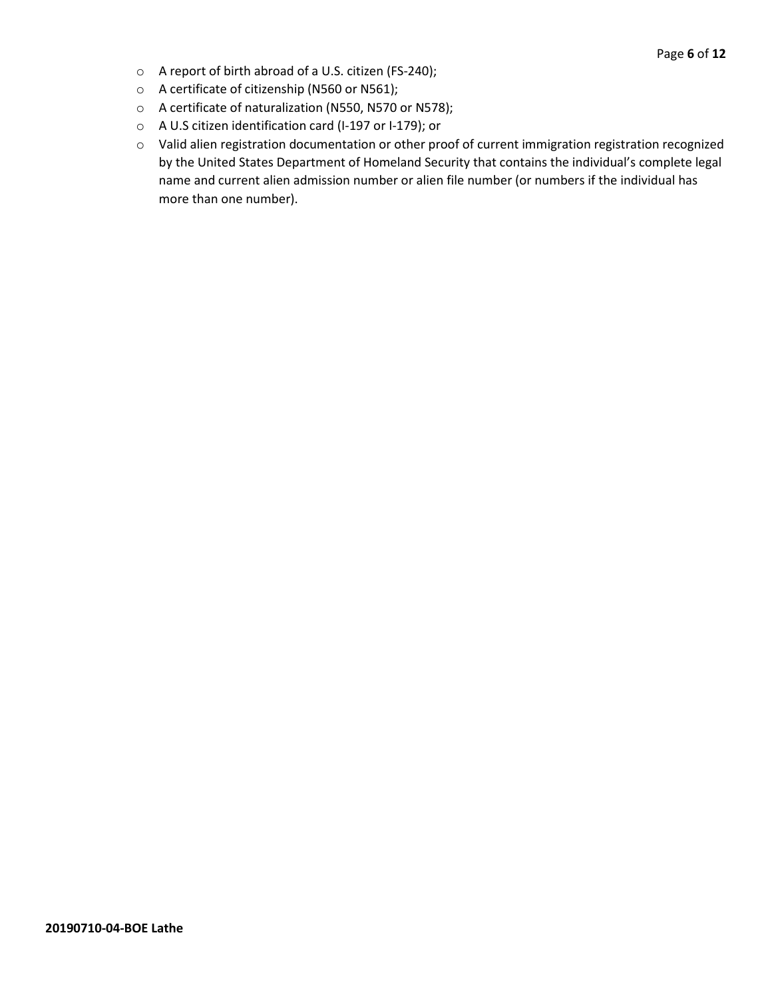- o A report of birth abroad of a U.S. citizen (FS-240);
- o A certificate of citizenship (N560 or N561);
- o A certificate of naturalization (N550, N570 or N578);
- o A U.S citizen identification card (I-197 or I-179); or
- o Valid alien registration documentation or other proof of current immigration registration recognized by the United States Department of Homeland Security that contains the individual's complete legal name and current alien admission number or alien file number (or numbers if the individual has more than one number).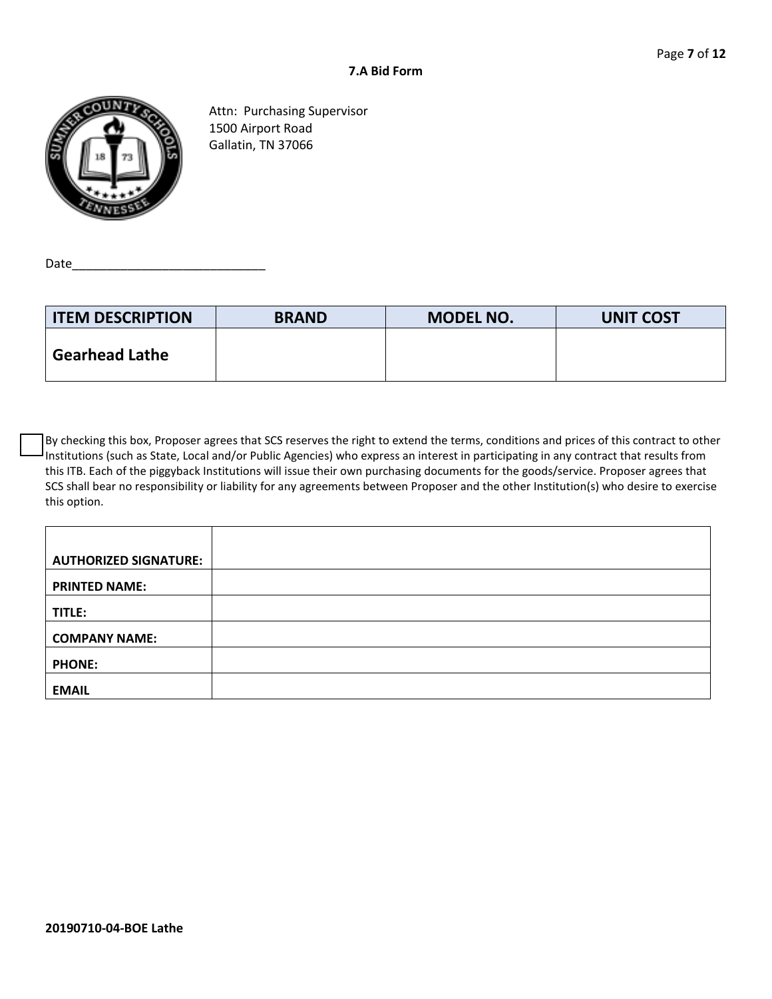

Attn: Purchasing Supervisor 1500 Airport Road Gallatin, TN 37066

Date\_\_\_\_\_\_\_\_\_\_\_\_\_\_\_\_\_\_\_\_\_\_\_\_\_\_\_\_

| <b>ITEM DESCRIPTION</b> | <b>BRAND</b> | <b>MODEL NO.</b> | <b>UNIT COST</b> |
|-------------------------|--------------|------------------|------------------|
| <b>Gearhead Lathe</b>   |              |                  |                  |

By checking this box, Proposer agrees that SCS reserves the right to extend the terms, conditions and prices of this contract to other Institutions (such as State, Local and/or Public Agencies) who express an interest in participating in any contract that results from this ITB. Each of the piggyback Institutions will issue their own purchasing documents for the goods/service. Proposer agrees that SCS shall bear no responsibility or liability for any agreements between Proposer and the other Institution(s) who desire to exercise this option.

| <b>AUTHORIZED SIGNATURE:</b> |  |
|------------------------------|--|
| <b>PRINTED NAME:</b>         |  |
| TITLE:                       |  |
| <b>COMPANY NAME:</b>         |  |
| <b>PHONE:</b>                |  |
| <b>EMAIL</b>                 |  |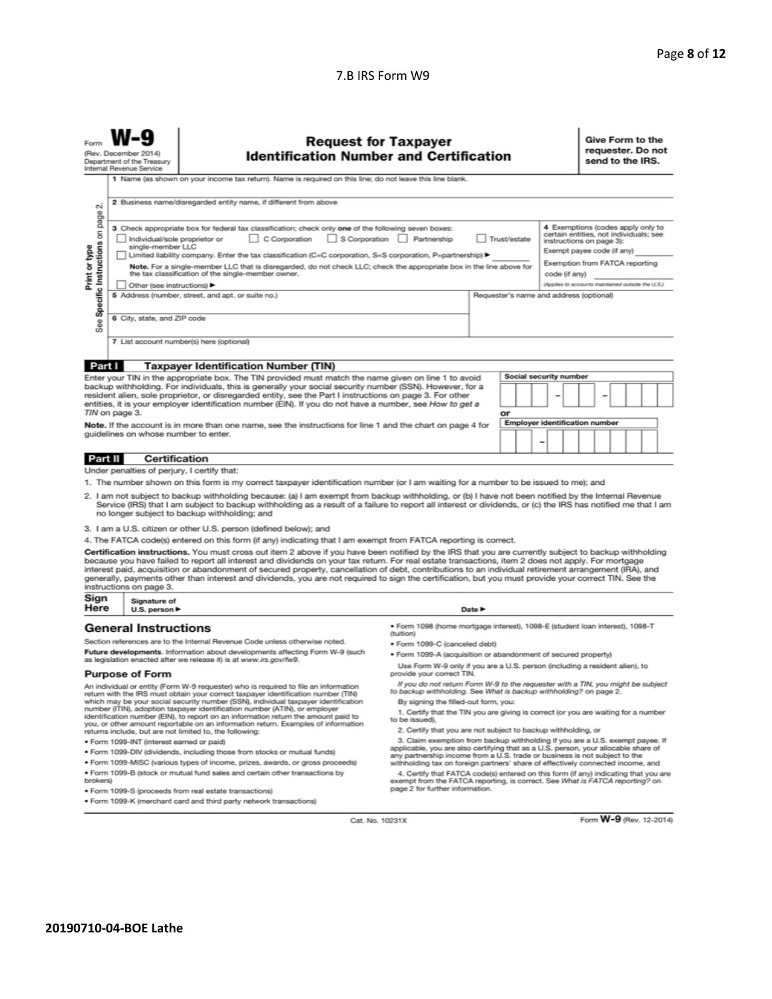#### 7.B IRS Form W9

| Form                                                                                                                                                                                                                                                                                                                                                                                                                                                                                                                                                                                                                                                                                                                                                                                                                                                    | <b>Request for Taxpayer</b><br>Give Form to the<br>requester. Do not<br>(Rev. December 2014)<br><b>Identification Number and Certification</b><br>send to the IRS.<br>Department of the Treasury<br>Internal Revenue Service |                                                                                                                                                                                                                                                                                                                                  |                                                                                                                                                      |                                                                                                          |    |                                         |  |  |  |
|---------------------------------------------------------------------------------------------------------------------------------------------------------------------------------------------------------------------------------------------------------------------------------------------------------------------------------------------------------------------------------------------------------------------------------------------------------------------------------------------------------------------------------------------------------------------------------------------------------------------------------------------------------------------------------------------------------------------------------------------------------------------------------------------------------------------------------------------------------|------------------------------------------------------------------------------------------------------------------------------------------------------------------------------------------------------------------------------|----------------------------------------------------------------------------------------------------------------------------------------------------------------------------------------------------------------------------------------------------------------------------------------------------------------------------------|------------------------------------------------------------------------------------------------------------------------------------------------------|----------------------------------------------------------------------------------------------------------|----|-----------------------------------------|--|--|--|
|                                                                                                                                                                                                                                                                                                                                                                                                                                                                                                                                                                                                                                                                                                                                                                                                                                                         | 1 Name (as shown on your income tax return). Name is required on this line; do not leave this line blank.                                                                                                                    |                                                                                                                                                                                                                                                                                                                                  |                                                                                                                                                      |                                                                                                          |    |                                         |  |  |  |
| οi                                                                                                                                                                                                                                                                                                                                                                                                                                                                                                                                                                                                                                                                                                                                                                                                                                                      |                                                                                                                                                                                                                              | 2 Business name/disregarded entity name, if different from above                                                                                                                                                                                                                                                                 |                                                                                                                                                      |                                                                                                          |    |                                         |  |  |  |
| page<br>4 Exemptions (codes apply only to<br>3 Check appropriate box for federal tax classification; check only one of the following seven boxes:<br>Specific Instructions on<br>certain entities, not individuals; see<br>S Corporation Partnership<br>Trust/estate<br>Individual/sole proprietor or<br>C Corporation<br>instructions on page 3):<br>single-member LLC<br>Print or type<br>Exempt payee code (if any)<br>Limited liability company. Enter the tax classification (C=C corporation, S=S corporation, P=partnership) ▶<br>Exemption from FATCA reporting<br>Note. For a single-member LLC that is disregarded, do not check LLC; check the appropriate box in the line above for<br>the tax classification of the single-member owner.<br>code (if any)<br>(Applies to accounts maintained outside the U.S.)<br>Other (see instructions) |                                                                                                                                                                                                                              |                                                                                                                                                                                                                                                                                                                                  |                                                                                                                                                      |                                                                                                          |    |                                         |  |  |  |
|                                                                                                                                                                                                                                                                                                                                                                                                                                                                                                                                                                                                                                                                                                                                                                                                                                                         |                                                                                                                                                                                                                              | 5 Address (number, street, and apt. or suite no.)                                                                                                                                                                                                                                                                                |                                                                                                                                                      |                                                                                                          |    | Requester's name and address (optional) |  |  |  |
| See                                                                                                                                                                                                                                                                                                                                                                                                                                                                                                                                                                                                                                                                                                                                                                                                                                                     | 6 City, state, and ZIP code                                                                                                                                                                                                  |                                                                                                                                                                                                                                                                                                                                  |                                                                                                                                                      |                                                                                                          |    |                                         |  |  |  |
|                                                                                                                                                                                                                                                                                                                                                                                                                                                                                                                                                                                                                                                                                                                                                                                                                                                         |                                                                                                                                                                                                                              | 7 List account number(s) here (optional)                                                                                                                                                                                                                                                                                         |                                                                                                                                                      |                                                                                                          |    |                                         |  |  |  |
| Part I                                                                                                                                                                                                                                                                                                                                                                                                                                                                                                                                                                                                                                                                                                                                                                                                                                                  |                                                                                                                                                                                                                              | <b>Taxpayer Identification Number (TIN)</b>                                                                                                                                                                                                                                                                                      |                                                                                                                                                      |                                                                                                          |    |                                         |  |  |  |
|                                                                                                                                                                                                                                                                                                                                                                                                                                                                                                                                                                                                                                                                                                                                                                                                                                                         |                                                                                                                                                                                                                              | Enter your TIN in the appropriate box. The TIN provided must match the name given on line 1 to avoid                                                                                                                                                                                                                             |                                                                                                                                                      |                                                                                                          |    | Social security number                  |  |  |  |
|                                                                                                                                                                                                                                                                                                                                                                                                                                                                                                                                                                                                                                                                                                                                                                                                                                                         | TIN on page 3.                                                                                                                                                                                                               | backup withholding. For individuals, this is generally your social security number (SSN). However, for a<br>resident alien, sole proprietor, or disregarded entity, see the Part I instructions on page 3. For other<br>entities, it is your employer identification number (EIN). If you do not have a number, see How to get a |                                                                                                                                                      |                                                                                                          | ٥r |                                         |  |  |  |
|                                                                                                                                                                                                                                                                                                                                                                                                                                                                                                                                                                                                                                                                                                                                                                                                                                                         |                                                                                                                                                                                                                              |                                                                                                                                                                                                                                                                                                                                  |                                                                                                                                                      |                                                                                                          |    |                                         |  |  |  |
| <b>Employer identification number</b><br>Note. If the account is in more than one name, see the instructions for line 1 and the chart on page 4 for<br>quidelines on whose number to enter.<br>$\overline{a}$                                                                                                                                                                                                                                                                                                                                                                                                                                                                                                                                                                                                                                           |                                                                                                                                                                                                                              |                                                                                                                                                                                                                                                                                                                                  |                                                                                                                                                      |                                                                                                          |    |                                         |  |  |  |
| Certification<br>Part II                                                                                                                                                                                                                                                                                                                                                                                                                                                                                                                                                                                                                                                                                                                                                                                                                                |                                                                                                                                                                                                                              |                                                                                                                                                                                                                                                                                                                                  |                                                                                                                                                      |                                                                                                          |    |                                         |  |  |  |
|                                                                                                                                                                                                                                                                                                                                                                                                                                                                                                                                                                                                                                                                                                                                                                                                                                                         | Under penalties of perjury, I certify that:                                                                                                                                                                                  |                                                                                                                                                                                                                                                                                                                                  |                                                                                                                                                      |                                                                                                          |    |                                         |  |  |  |
|                                                                                                                                                                                                                                                                                                                                                                                                                                                                                                                                                                                                                                                                                                                                                                                                                                                         |                                                                                                                                                                                                                              | 1. The number shown on this form is my correct taxpayer identification number (or I am waiting for a number to be issued to me); and                                                                                                                                                                                             |                                                                                                                                                      |                                                                                                          |    |                                         |  |  |  |
| 2. I am not subject to backup withholding because: (a) I am exempt from backup withholding, or (b) I have not been notified by the Internal Revenue<br>Service (IRS) that I am subject to backup withholding as a result of a failure to report all interest or dividends, or (c) the IRS has notified me that I am<br>no longer subject to backup withholding; and                                                                                                                                                                                                                                                                                                                                                                                                                                                                                     |                                                                                                                                                                                                                              |                                                                                                                                                                                                                                                                                                                                  |                                                                                                                                                      |                                                                                                          |    |                                         |  |  |  |
|                                                                                                                                                                                                                                                                                                                                                                                                                                                                                                                                                                                                                                                                                                                                                                                                                                                         |                                                                                                                                                                                                                              | 3. I am a U.S. citizen or other U.S. person (defined below); and                                                                                                                                                                                                                                                                 |                                                                                                                                                      |                                                                                                          |    |                                         |  |  |  |
|                                                                                                                                                                                                                                                                                                                                                                                                                                                                                                                                                                                                                                                                                                                                                                                                                                                         |                                                                                                                                                                                                                              | 4. The FATCA code(s) entered on this form (if any) indicating that I am exempt from FATCA reporting is correct.                                                                                                                                                                                                                  |                                                                                                                                                      |                                                                                                          |    |                                         |  |  |  |
| Certification instructions. You must cross out item 2 above if you have been notified by the IRS that you are currently subject to backup withholding<br>because you have failed to report all interest and dividends on your tax return. For real estate transactions, item 2 does not apply. For mortgage<br>interest paid, acquisition or abandonment of secured property, cancellation of debt, contributions to an individual retirement arrangement (IRA), and<br>generally, payments other than interest and dividends, you are not required to sign the certification, but you must provide your correct TIN. See the<br>instructions on page 3.                                                                                                                                                                                                |                                                                                                                                                                                                                              |                                                                                                                                                                                                                                                                                                                                  |                                                                                                                                                      |                                                                                                          |    |                                         |  |  |  |
| Sign<br>Here                                                                                                                                                                                                                                                                                                                                                                                                                                                                                                                                                                                                                                                                                                                                                                                                                                            | Signature of<br>U.S. person $\blacktriangleright$                                                                                                                                                                            |                                                                                                                                                                                                                                                                                                                                  |                                                                                                                                                      | Date P                                                                                                   |    |                                         |  |  |  |
|                                                                                                                                                                                                                                                                                                                                                                                                                                                                                                                                                                                                                                                                                                                                                                                                                                                         | <b>General Instructions</b>                                                                                                                                                                                                  |                                                                                                                                                                                                                                                                                                                                  | · Form 1098 (home mortgage interest), 1098-E (student Ioan interest), 1098-T<br>(tuition)                                                            |                                                                                                          |    |                                         |  |  |  |
|                                                                                                                                                                                                                                                                                                                                                                                                                                                                                                                                                                                                                                                                                                                                                                                                                                                         |                                                                                                                                                                                                                              | Section references are to the Internal Revenue Code unless otherwise noted.                                                                                                                                                                                                                                                      | · Form 1099-C (canceled debt)                                                                                                                        |                                                                                                          |    |                                         |  |  |  |
|                                                                                                                                                                                                                                                                                                                                                                                                                                                                                                                                                                                                                                                                                                                                                                                                                                                         |                                                                                                                                                                                                                              | Future developments. Information about developments affecting Form W-9 (such<br>as legislation enacted after we release it) is at www.irs.gov/fw9.                                                                                                                                                                               | . Form 1099-A (acquisition or abandonment of secured property)                                                                                       |                                                                                                          |    |                                         |  |  |  |
|                                                                                                                                                                                                                                                                                                                                                                                                                                                                                                                                                                                                                                                                                                                                                                                                                                                         | <b>Purpose of Form</b>                                                                                                                                                                                                       |                                                                                                                                                                                                                                                                                                                                  |                                                                                                                                                      | Use Form W-9 only if you are a U.S. person (including a resident alien), to<br>provide your correct TIN. |    |                                         |  |  |  |
|                                                                                                                                                                                                                                                                                                                                                                                                                                                                                                                                                                                                                                                                                                                                                                                                                                                         |                                                                                                                                                                                                                              | An individual or entity (Form W-9 requester) who is required to file an information<br>return with the IRS must obtain your correct taxpayer identification number (TIN)                                                                                                                                                         | If you do not return Form W-9 to the requester with a TIN, you might be subject<br>to backup withholding. See What is backup withholding? on page 2. |                                                                                                          |    |                                         |  |  |  |
| which may be your social security number (SSN), individual taxpayer identification<br>number (ITIN), adoption taxpayer identification number (ATIN), or employer                                                                                                                                                                                                                                                                                                                                                                                                                                                                                                                                                                                                                                                                                        |                                                                                                                                                                                                                              |                                                                                                                                                                                                                                                                                                                                  | By signing the filled-out form, you:<br>1. Certify that the TIN you are giving is correct (or you are waiting for a number                           |                                                                                                          |    |                                         |  |  |  |

identification number (EIN), to report on an information return the amount paid to<br>you, or other amount reportable on an information return. Examples of information<br>returns include, but are not limited to, the following:

- · Form 1099-INT (interest earned or paid)
- · Form 1099-DIV (dividends, including those from stocks or mutual funds)
- · Form 1099-MISC (various types of income, prizes, awards, or gross proceeds) . Form 1099-B (stock or mutual fund sales and certain other transactions by
- brokers) · Form 1099-S (proceeds from real estate transactions)
- · Form 1099-K (merchant card and third party network transactions)
- to be issued),
- 2. Certify that you are not subject to backup withholding, or

2. Certify that you are not subject to backup withholding, or<br>3. Claim exemption from backup withholding if you are a U.S. exempt payee. If<br>applicable, you are also certifying that as a U.S. person, your allocable share of

withholding tax on foreign partners' share of effectively connected income, and<br>4. Certify that FATCA code(s) entered on this form (if any) indicating that you are<br>exempt from the FATCA reporting, is correct. See What is F

Cat. No. 10231X

Form W-9 (Rev. 12-2014)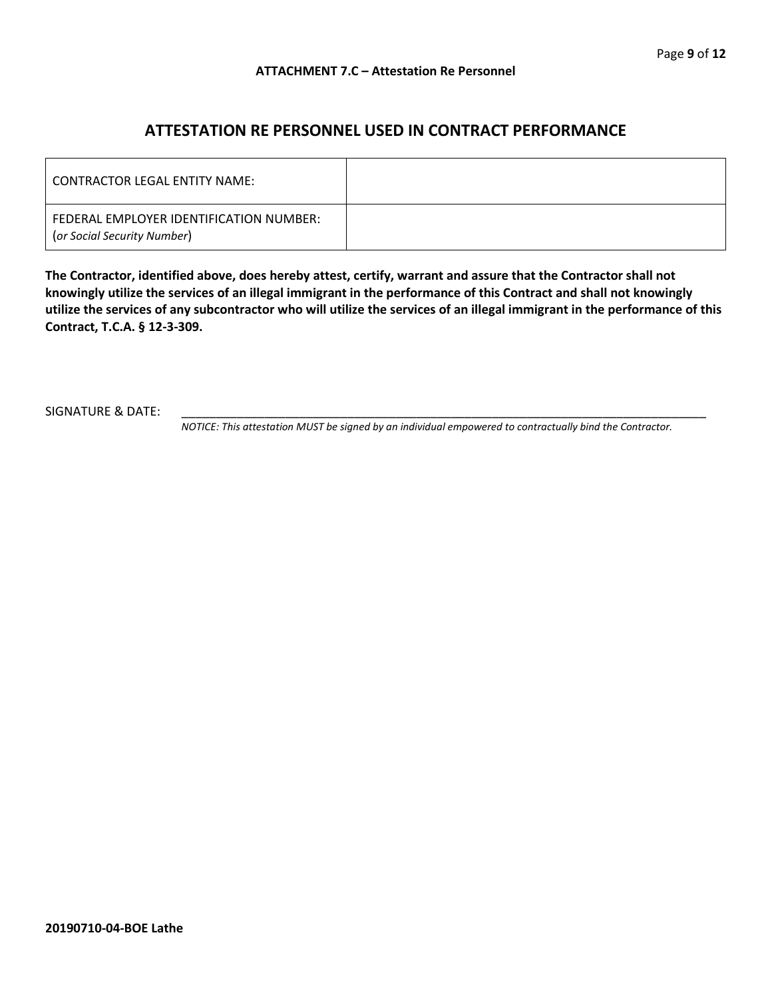### **ATTESTATION RE PERSONNEL USED IN CONTRACT PERFORMANCE**

| LCONTRACTOR LEGAL ENTITY NAME:                                         |  |
|------------------------------------------------------------------------|--|
| FEDERAL EMPLOYER IDENTIFICATION NUMBER:<br>(or Social Security Number) |  |

**The Contractor, identified above, does hereby attest, certify, warrant and assure that the Contractor shall not knowingly utilize the services of an illegal immigrant in the performance of this Contract and shall not knowingly utilize the services of any subcontractor who will utilize the services of an illegal immigrant in the performance of this Contract, T.C.A. § 12-3-309.**

SIGNATURE & DATE:

*NOTICE: This attestation MUST be signed by an individual empowered to contractually bind the Contractor.*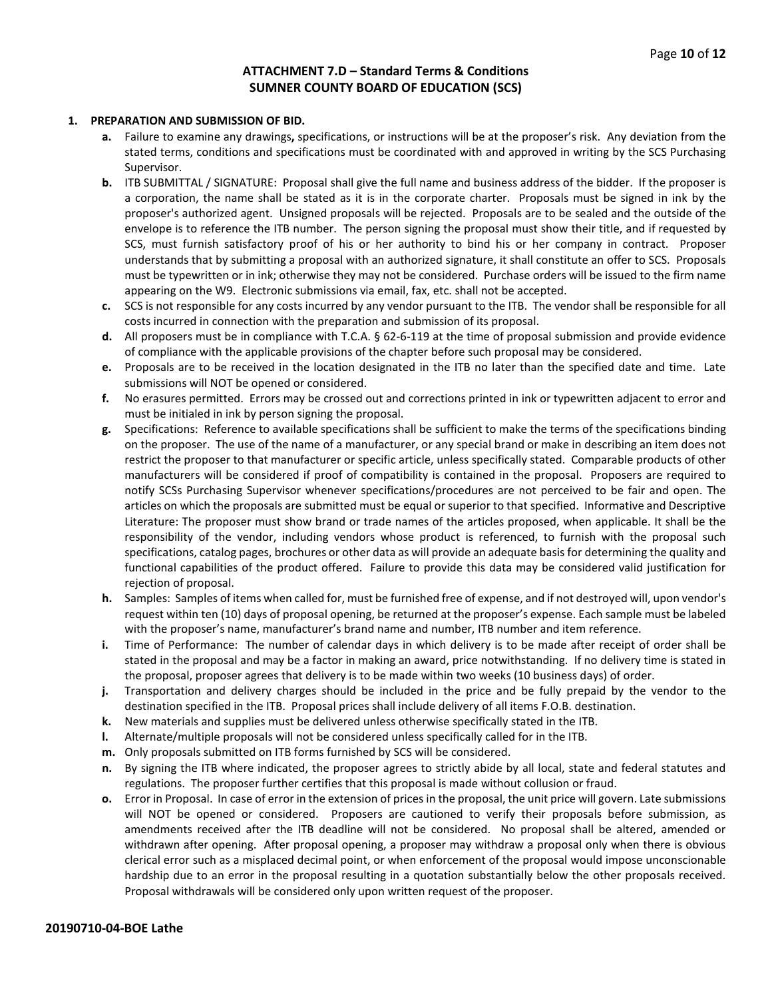#### **ATTACHMENT 7.D – Standard Terms & Conditions SUMNER COUNTY BOARD OF EDUCATION (SCS)**

#### **1. PREPARATION AND SUBMISSION OF BID.**

- **a.** Failure to examine any drawings**,** specifications, or instructions will be at the proposer's risk. Any deviation from the stated terms, conditions and specifications must be coordinated with and approved in writing by the SCS Purchasing Supervisor.
- **b.** ITB SUBMITTAL / SIGNATURE: Proposal shall give the full name and business address of the bidder. If the proposer is a corporation, the name shall be stated as it is in the corporate charter. Proposals must be signed in ink by the proposer's authorized agent. Unsigned proposals will be rejected. Proposals are to be sealed and the outside of the envelope is to reference the ITB number. The person signing the proposal must show their title, and if requested by SCS, must furnish satisfactory proof of his or her authority to bind his or her company in contract. Proposer understands that by submitting a proposal with an authorized signature, it shall constitute an offer to SCS. Proposals must be typewritten or in ink; otherwise they may not be considered. Purchase orders will be issued to the firm name appearing on the W9. Electronic submissions via email, fax, etc. shall not be accepted.
- **c.** SCS is not responsible for any costs incurred by any vendor pursuant to the ITB. The vendor shall be responsible for all costs incurred in connection with the preparation and submission of its proposal.
- **d.** All proposers must be in compliance with T.C.A. § 62-6-119 at the time of proposal submission and provide evidence of compliance with the applicable provisions of the chapter before such proposal may be considered.
- **e.** Proposals are to be received in the location designated in the ITB no later than the specified date and time. Late submissions will NOT be opened or considered.
- **f.** No erasures permitted. Errors may be crossed out and corrections printed in ink or typewritten adjacent to error and must be initialed in ink by person signing the proposal.
- **g.** Specifications: Reference to available specifications shall be sufficient to make the terms of the specifications binding on the proposer. The use of the name of a manufacturer, or any special brand or make in describing an item does not restrict the proposer to that manufacturer or specific article, unless specifically stated. Comparable products of other manufacturers will be considered if proof of compatibility is contained in the proposal. Proposers are required to notify SCSs Purchasing Supervisor whenever specifications/procedures are not perceived to be fair and open. The articles on which the proposals are submitted must be equal or superior to that specified. Informative and Descriptive Literature: The proposer must show brand or trade names of the articles proposed, when applicable. It shall be the responsibility of the vendor, including vendors whose product is referenced, to furnish with the proposal such specifications, catalog pages, brochures or other data as will provide an adequate basis for determining the quality and functional capabilities of the product offered. Failure to provide this data may be considered valid justification for rejection of proposal.
- **h.** Samples: Samples of items when called for, must be furnished free of expense, and if not destroyed will, upon vendor's request within ten (10) days of proposal opening, be returned at the proposer's expense. Each sample must be labeled with the proposer's name, manufacturer's brand name and number, ITB number and item reference.
- **i.** Time of Performance: The number of calendar days in which delivery is to be made after receipt of order shall be stated in the proposal and may be a factor in making an award, price notwithstanding. If no delivery time is stated in the proposal, proposer agrees that delivery is to be made within two weeks (10 business days) of order.
- **j.** Transportation and delivery charges should be included in the price and be fully prepaid by the vendor to the destination specified in the ITB. Proposal prices shall include delivery of all items F.O.B. destination.
- **k.** New materials and supplies must be delivered unless otherwise specifically stated in the ITB.
- **l.** Alternate/multiple proposals will not be considered unless specifically called for in the ITB.
- **m.** Only proposals submitted on ITB forms furnished by SCS will be considered.
- **n.** By signing the ITB where indicated, the proposer agrees to strictly abide by all local, state and federal statutes and regulations. The proposer further certifies that this proposal is made without collusion or fraud.
- **o.** Error in Proposal. In case of error in the extension of prices in the proposal, the unit price will govern. Late submissions will NOT be opened or considered. Proposers are cautioned to verify their proposals before submission, as amendments received after the ITB deadline will not be considered. No proposal shall be altered, amended or withdrawn after opening. After proposal opening, a proposer may withdraw a proposal only when there is obvious clerical error such as a misplaced decimal point, or when enforcement of the proposal would impose unconscionable hardship due to an error in the proposal resulting in a quotation substantially below the other proposals received. Proposal withdrawals will be considered only upon written request of the proposer.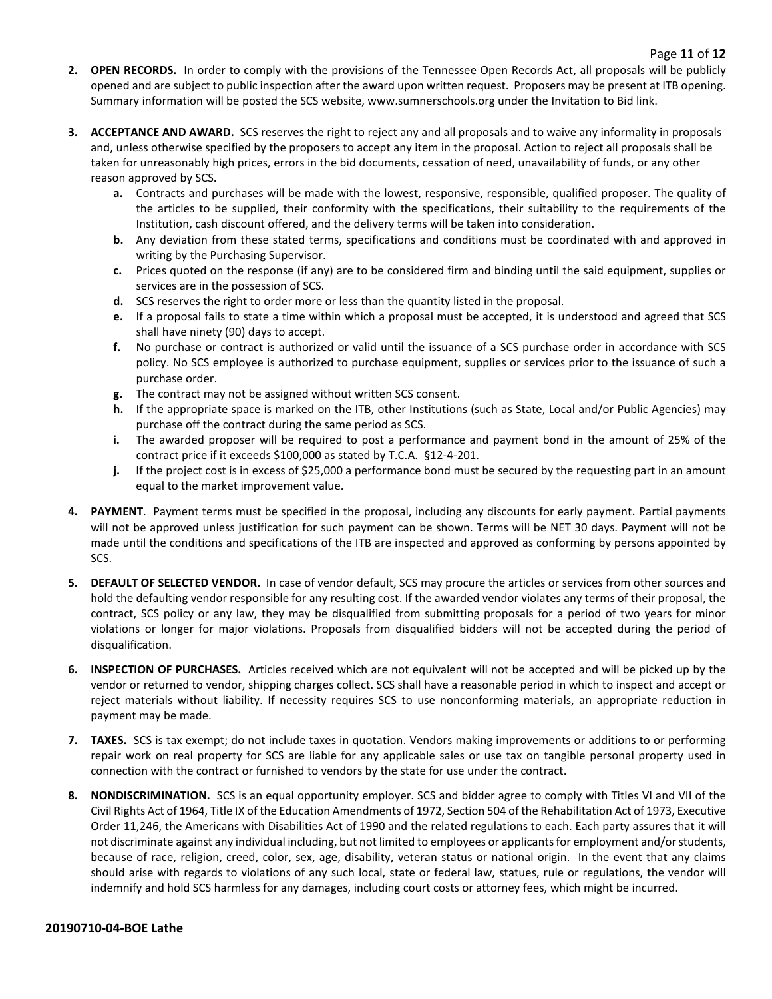- **2. OPEN RECORDS.** In order to comply with the provisions of the Tennessee Open Records Act, all proposals will be publicly opened and are subject to public inspection after the award upon written request. Proposers may be present at ITB opening. Summary information will be posted the SCS website, www.sumnerschools.org under the Invitation to Bid link.
- **3. ACCEPTANCE AND AWARD.** SCS reserves the right to reject any and all proposals and to waive any informality in proposals and, unless otherwise specified by the proposers to accept any item in the proposal. Action to reject all proposals shall be taken for unreasonably high prices, errors in the bid documents, cessation of need, unavailability of funds, or any other reason approved by SCS.
	- **a.** Contracts and purchases will be made with the lowest, responsive, responsible, qualified proposer. The quality of the articles to be supplied, their conformity with the specifications, their suitability to the requirements of the Institution, cash discount offered, and the delivery terms will be taken into consideration.
	- **b.** Any deviation from these stated terms, specifications and conditions must be coordinated with and approved in writing by the Purchasing Supervisor.
	- **c.** Prices quoted on the response (if any) are to be considered firm and binding until the said equipment, supplies or services are in the possession of SCS.
	- **d.** SCS reserves the right to order more or less than the quantity listed in the proposal.
	- **e.** If a proposal fails to state a time within which a proposal must be accepted, it is understood and agreed that SCS shall have ninety (90) days to accept.
	- **f.** No purchase or contract is authorized or valid until the issuance of a SCS purchase order in accordance with SCS policy. No SCS employee is authorized to purchase equipment, supplies or services prior to the issuance of such a purchase order.
	- **g.** The contract may not be assigned without written SCS consent.
	- **h.** If the appropriate space is marked on the ITB, other Institutions (such as State, Local and/or Public Agencies) may purchase off the contract during the same period as SCS.
	- **i.** The awarded proposer will be required to post a performance and payment bond in the amount of 25% of the contract price if it exceeds \$100,000 as stated by T.C.A. §12-4-201.
	- **j.** If the project cost is in excess of \$25,000 a performance bond must be secured by the requesting part in an amount equal to the market improvement value.
- **4. PAYMENT**. Payment terms must be specified in the proposal, including any discounts for early payment. Partial payments will not be approved unless justification for such payment can be shown. Terms will be NET 30 days. Payment will not be made until the conditions and specifications of the ITB are inspected and approved as conforming by persons appointed by SCS.
- **5. DEFAULT OF SELECTED VENDOR.** In case of vendor default, SCS may procure the articles or services from other sources and hold the defaulting vendor responsible for any resulting cost. If the awarded vendor violates any terms of their proposal, the contract, SCS policy or any law, they may be disqualified from submitting proposals for a period of two years for minor violations or longer for major violations. Proposals from disqualified bidders will not be accepted during the period of disqualification.
- **6. INSPECTION OF PURCHASES.** Articles received which are not equivalent will not be accepted and will be picked up by the vendor or returned to vendor, shipping charges collect. SCS shall have a reasonable period in which to inspect and accept or reject materials without liability. If necessity requires SCS to use nonconforming materials, an appropriate reduction in payment may be made.
- **7. TAXES.** SCS is tax exempt; do not include taxes in quotation. Vendors making improvements or additions to or performing repair work on real property for SCS are liable for any applicable sales or use tax on tangible personal property used in connection with the contract or furnished to vendors by the state for use under the contract.
- **8. NONDISCRIMINATION.** SCS is an equal opportunity employer. SCS and bidder agree to comply with Titles VI and VII of the Civil Rights Act of 1964, Title IX of the Education Amendments of 1972, Section 504 of the Rehabilitation Act of 1973, Executive Order 11,246, the Americans with Disabilities Act of 1990 and the related regulations to each. Each party assures that it will not discriminate against any individual including, but not limited to employees or applicants for employment and/or students, because of race, religion, creed, color, sex, age, disability, veteran status or national origin. In the event that any claims should arise with regards to violations of any such local, state or federal law, statues, rule or regulations, the vendor will indemnify and hold SCS harmless for any damages, including court costs or attorney fees, which might be incurred.